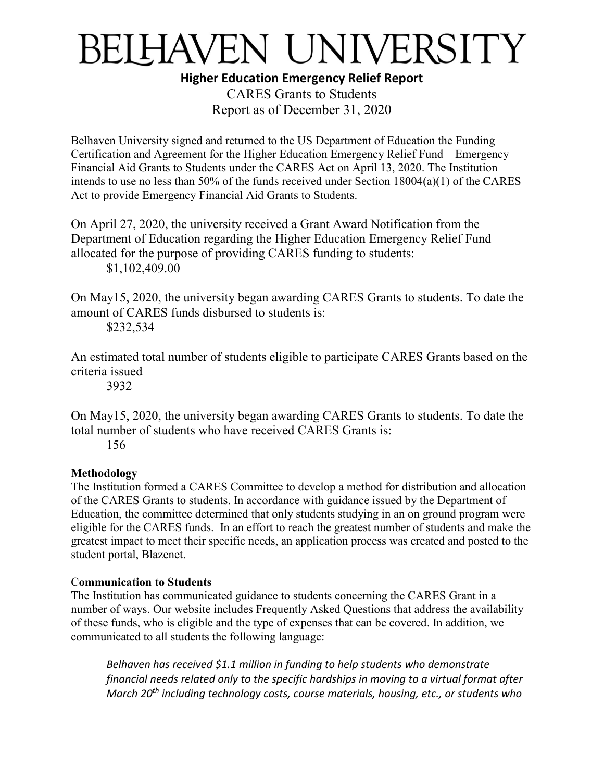## BELHAVEN UNIVERSITY

**Higher Education Emergency Relief Report**

CARES Grants to Students Report as of December 31, 2020

Belhaven University signed and returned to the US Department of Education the Funding Certification and Agreement for the Higher Education Emergency Relief Fund – Emergency Financial Aid Grants to Students under the CARES Act on April 13, 2020. The Institution intends to use no less than 50% of the funds received under Section 18004(a)(1) of the CARES Act to provide Emergency Financial Aid Grants to Students.

On April 27, 2020, the university received a Grant Award Notification from the Department of Education regarding the Higher Education Emergency Relief Fund allocated for the purpose of providing CARES funding to students: \$1,102,409.00

On May15, 2020, the university began awarding CARES Grants to students. To date the amount of CARES funds disbursed to students is:

\$232,534

An estimated total number of students eligible to participate CARES Grants based on the criteria issued

3932

On May15, 2020, the university began awarding CARES Grants to students. To date the total number of students who have received CARES Grants is:

156

## **Methodology**

The Institution formed a CARES Committee to develop a method for distribution and allocation of the CARES Grants to students. In accordance with guidance issued by the Department of Education, the committee determined that only students studying in an on ground program were eligible for the CARES funds. In an effort to reach the greatest number of students and make the greatest impact to meet their specific needs, an application process was created and posted to the student portal, Blazenet.

## C**ommunication to Students**

The Institution has communicated guidance to students concerning the CARES Grant in a number of ways. Our website includes Frequently Asked Questions that address the availability of these funds, who is eligible and the type of expenses that can be covered. In addition, we communicated to all students the following language:

*Belhaven has received \$1.1 million in funding to help students who demonstrate financial needs related only to the specific hardships in moving to a virtual format after March 20th including technology costs, course materials, housing, etc., or students who*